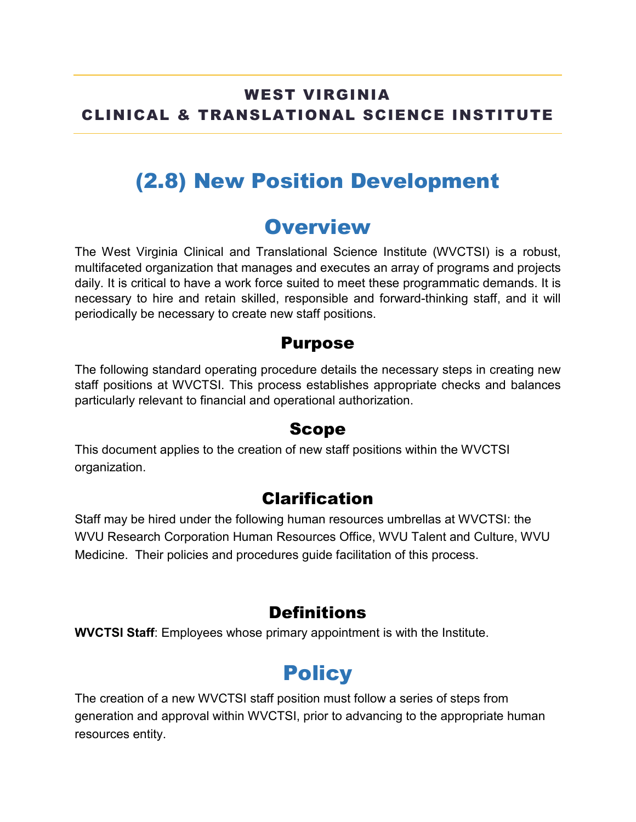### WEST VIRGINIA CLINICAL & TRANSLATIONAL SCIENCE INSTITUTE

## (2.8) New Position Development

## **Overview**

The West Virginia Clinical and Translational Science Institute (WVCTSI) is a robust, multifaceted organization that manages and executes an array of programs and projects daily. It is critical to have a work force suited to meet these programmatic demands. It is necessary to hire and retain skilled, responsible and forward-thinking staff, and it will periodically be necessary to create new staff positions.

#### Purpose

The following standard operating procedure details the necessary steps in creating new staff positions at WVCTSI. This process establishes appropriate checks and balances particularly relevant to financial and operational authorization.

#### Scope

This document applies to the creation of new staff positions within the WVCTSI organization.

#### Clarification

Staff may be hired under the following human resources umbrellas at WVCTSI: the WVU Research Corporation Human Resources Office, WVU Talent and Culture, WVU Medicine. Their policies and procedures guide facilitation of this process.

### **Definitions**

**WVCTSI Staff**: Employees whose primary appointment is with the Institute.

# **Policy**

The creation of a new WVCTSI staff position must follow a series of steps from generation and approval within WVCTSI, prior to advancing to the appropriate human resources entity.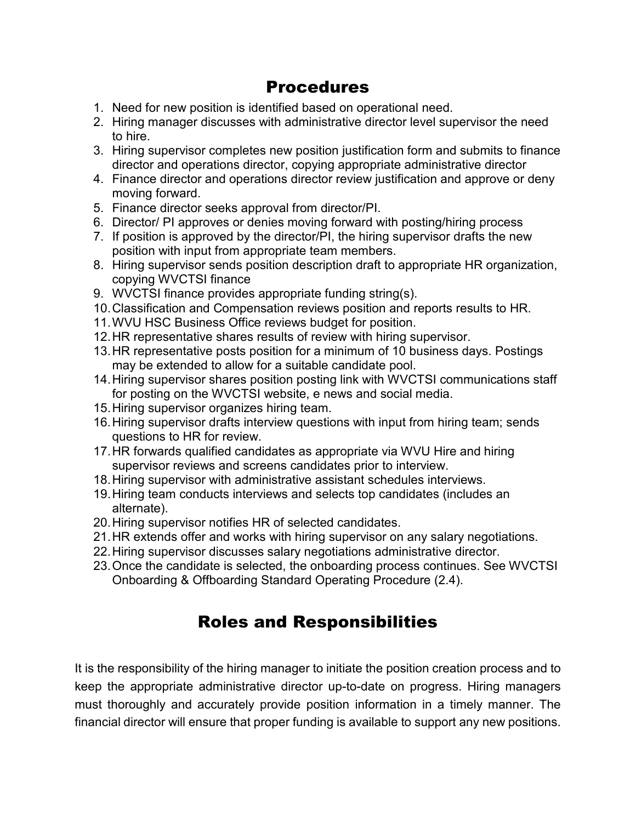#### Procedures

- 1. Need for new position is identified based on operational need.
- 2. Hiring manager discusses with administrative director level supervisor the need to hire.
- 3. Hiring supervisor completes new position justification form and submits to finance director and operations director, copying appropriate administrative director
- 4. Finance director and operations director review justification and approve or deny moving forward.
- 5. Finance director seeks approval from director/PI.
- 6. Director/ PI approves or denies moving forward with posting/hiring process
- 7. If position is approved by the director/PI, the hiring supervisor drafts the new position with input from appropriate team members.
- 8. Hiring supervisor sends position description draft to appropriate HR organization, copying WVCTSI finance
- 9. WVCTSI finance provides appropriate funding string(s).
- 10.Classification and Compensation reviews position and reports results to HR.
- 11.WVU HSC Business Office reviews budget for position.
- 12.HR representative shares results of review with hiring supervisor.
- 13.HR representative posts position for a minimum of 10 business days. Postings may be extended to allow for a suitable candidate pool.
- 14.Hiring supervisor shares position posting link with WVCTSI communications staff for posting on the WVCTSI website, e news and social media.
- 15.Hiring supervisor organizes hiring team.
- 16.Hiring supervisor drafts interview questions with input from hiring team; sends questions to HR for review.
- 17.HR forwards qualified candidates as appropriate via WVU Hire and hiring supervisor reviews and screens candidates prior to interview.
- 18.Hiring supervisor with administrative assistant schedules interviews.
- 19.Hiring team conducts interviews and selects top candidates (includes an alternate).
- 20.Hiring supervisor notifies HR of selected candidates.
- 21.HR extends offer and works with hiring supervisor on any salary negotiations.
- 22.Hiring supervisor discusses salary negotiations administrative director.
- 23.Once the candidate is selected, the onboarding process continues. See WVCTSI Onboarding & Offboarding Standard Operating Procedure (2.4).

#### Roles and Responsibilities

It is the responsibility of the hiring manager to initiate the position creation process and to keep the appropriate administrative director up-to-date on progress. Hiring managers must thoroughly and accurately provide position information in a timely manner. The financial director will ensure that proper funding is available to support any new positions.